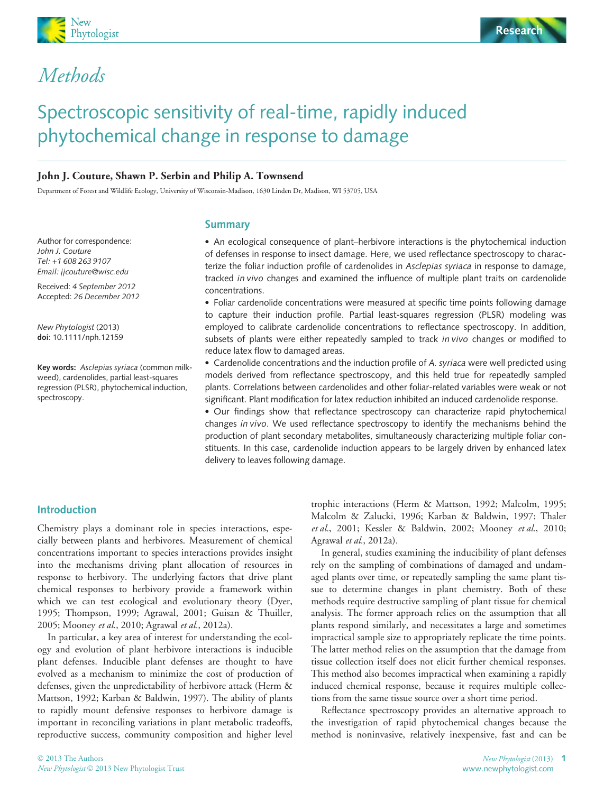



## Methods

# Spectroscopic sensitivity of real-time, rapidly induced phytochemical change in response to damage

#### John J. Couture, Shawn P. Serbin and Philip A. Townsend

Department of Forest and Wildlife Ecology, University of Wisconsin-Madison, 1630 Linden Dr, Madison, WI 53705, USA

Author for correspondence: John J. Couture Tel: +1 608 263 9107 Email: jjcouture@wisc.edu

Received: 4 September 2012 Accepted: 26 December 2012

New Phytologist (2013) doi: 10.1111/nph.12159

Key words: Asclepias syriaca (common milkweed), cardenolides, partial least-squares regression (PLSR), phytochemical induction, spectroscopy.

## Summary

! An ecological consequence of plant–herbivore interactions is the phytochemical induction of defenses in response to insect damage. Here, we used reflectance spectroscopy to characterize the foliar induction profile of cardenolides in Asclepias syriaca in response to damage, tracked in vivo changes and examined the influence of multiple plant traits on cardenolide concentrations.

! Foliar cardenolide concentrations were measured at specific time points following damage to capture their induction profile. Partial least-squares regression (PLSR) modeling was employed to calibrate cardenolide concentrations to reflectance spectroscopy. In addition, subsets of plants were either repeatedly sampled to track in vivo changes or modified to reduce latex flow to damaged areas.

. Cardenolide concentrations and the induction profile of A. syriaca were well predicted using models derived from reflectance spectroscopy, and this held true for repeatedly sampled plants. Correlations between cardenolides and other foliar-related variables were weak or not significant. Plant modification for latex reduction inhibited an induced cardenolide response.

! Our findings show that reflectance spectroscopy can characterize rapid phytochemical changes in vivo. We used reflectance spectroscopy to identify the mechanisms behind the production of plant secondary metabolites, simultaneously characterizing multiple foliar constituents. In this case, cardenolide induction appears to be largely driven by enhanced latex delivery to leaves following damage.

#### Introduction

Chemistry plays a dominant role in species interactions, especially between plants and herbivores. Measurement of chemical concentrations important to species interactions provides insight into the mechanisms driving plant allocation of resources in response to herbivory. The underlying factors that drive plant chemical responses to herbivory provide a framework within which we can test ecological and evolutionary theory (Dyer, 1995; Thompson, 1999; Agrawal, 2001; Guisan & Thuiller, 2005; Mooney et al., 2010; Agrawal et al., 2012a).

In particular, a key area of interest for understanding the ecology and evolution of plant–herbivore interactions is inducible plant defenses. Inducible plant defenses are thought to have evolved as a mechanism to minimize the cost of production of defenses, given the unpredictability of herbivore attack (Herm & Mattson, 1992; Karban & Baldwin, 1997). The ability of plants to rapidly mount defensive responses to herbivore damage is important in reconciling variations in plant metabolic tradeoffs, reproductive success, community composition and higher level

trophic interactions (Herm & Mattson, 1992; Malcolm, 1995; Malcolm & Zalucki, 1996; Karban & Baldwin, 1997; Thaler et al., 2001; Kessler & Baldwin, 2002; Mooney et al., 2010; Agrawal et al., 2012a).

In general, studies examining the inducibility of plant defenses rely on the sampling of combinations of damaged and undamaged plants over time, or repeatedly sampling the same plant tissue to determine changes in plant chemistry. Both of these methods require destructive sampling of plant tissue for chemical analysis. The former approach relies on the assumption that all plants respond similarly, and necessitates a large and sometimes impractical sample size to appropriately replicate the time points. The latter method relies on the assumption that the damage from tissue collection itself does not elicit further chemical responses. This method also becomes impractical when examining a rapidly induced chemical response, because it requires multiple collections from the same tissue source over a short time period.

Reflectance spectroscopy provides an alternative approach to the investigation of rapid phytochemical changes because the method is noninvasive, relatively inexpensive, fast and can be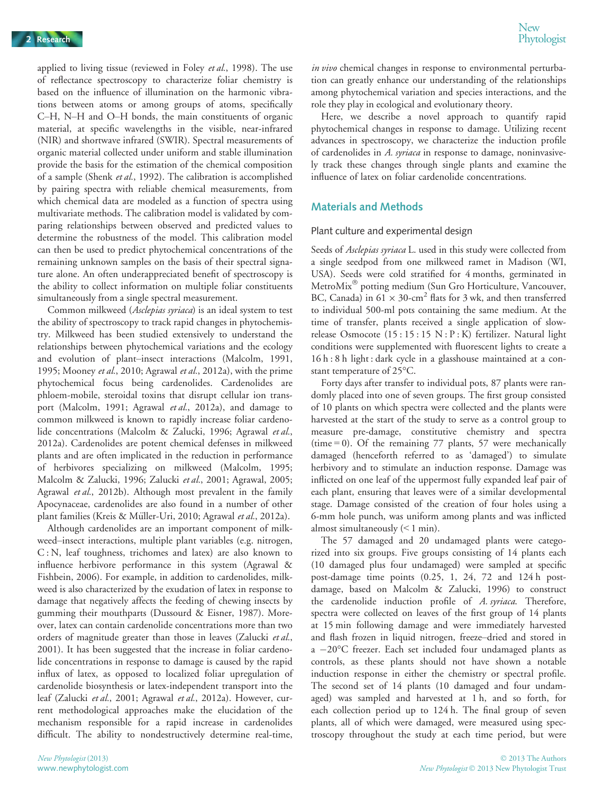applied to living tissue (reviewed in Foley et al., 1998). The use of reflectance spectroscopy to characterize foliar chemistry is based on the influence of illumination on the harmonic vibrations between atoms or among groups of atoms, specifically C–H, N–H and O–H bonds, the main constituents of organic material, at specific wavelengths in the visible, near-infrared (NIR) and shortwave infrared (SWIR). Spectral measurements of organic material collected under uniform and stable illumination provide the basis for the estimation of the chemical composition of a sample (Shenk et al., 1992). The calibration is accomplished by pairing spectra with reliable chemical measurements, from which chemical data are modeled as a function of spectra using multivariate methods. The calibration model is validated by comparing relationships between observed and predicted values to determine the robustness of the model. This calibration model can then be used to predict phytochemical concentrations of the remaining unknown samples on the basis of their spectral signature alone. An often underappreciated benefit of spectroscopy is the ability to collect information on multiple foliar constituents simultaneously from a single spectral measurement.

Common milkweed (Asclepias syriaca) is an ideal system to test the ability of spectroscopy to track rapid changes in phytochemistry. Milkweed has been studied extensively to understand the relationships between phytochemical variations and the ecology and evolution of plant–insect interactions (Malcolm, 1991, 1995; Mooney et al., 2010; Agrawal et al., 2012a), with the prime phytochemical focus being cardenolides. Cardenolides are phloem-mobile, steroidal toxins that disrupt cellular ion transport (Malcolm, 1991; Agrawal et al., 2012a), and damage to common milkweed is known to rapidly increase foliar cardenolide concentrations (Malcolm & Zalucki, 1996; Agrawal et al., 2012a). Cardenolides are potent chemical defenses in milkweed plants and are often implicated in the reduction in performance of herbivores specializing on milkweed (Malcolm, 1995; Malcolm & Zalucki, 1996; Zalucki et al., 2001; Agrawal, 2005; Agrawal et al., 2012b). Although most prevalent in the family Apocynaceae, cardenolides are also found in a number of other plant families (Kreis & Müller-Uri, 2010; Agrawal et al., 2012a).

Although cardenolides are an important component of milkweed–insect interactions, multiple plant variables (e.g. nitrogen, C: N, leaf toughness, trichomes and latex) are also known to influence herbivore performance in this system (Agrawal & Fishbein, 2006). For example, in addition to cardenolides, milkweed is also characterized by the exudation of latex in response to damage that negatively affects the feeding of chewing insects by gumming their mouthparts (Dussourd & Eisner, 1987). Moreover, latex can contain cardenolide concentrations more than two orders of magnitude greater than those in leaves (Zalucki et al., 2001). It has been suggested that the increase in foliar cardenolide concentrations in response to damage is caused by the rapid influx of latex, as opposed to localized foliar upregulation of cardenolide biosynthesis or latex-independent transport into the leaf (Zalucki et al., 2001; Agrawal et al., 2012a). However, current methodological approaches make the elucidation of the mechanism responsible for a rapid increase in cardenolides difficult. The ability to nondestructively determine real-time,

in vivo chemical changes in response to environmental perturbation can greatly enhance our understanding of the relationships among phytochemical variation and species interactions, and the role they play in ecological and evolutionary theory.

Here, we describe a novel approach to quantify rapid phytochemical changes in response to damage. Utilizing recent advances in spectroscopy, we characterize the induction profile of cardenolides in A. syriaca in response to damage, noninvasively track these changes through single plants and examine the influence of latex on foliar cardenolide concentrations.

#### Materials and Methods

#### Plant culture and experimental design

Seeds of Asclepias syriaca L. used in this study were collected from a single seedpod from one milkweed ramet in Madison (WI, USA). Seeds were cold stratified for 4 months, germinated in MetroMix" potting medium (Sun Gro Horticulture, Vancouver, BC, Canada) in  $61 \times 30$ -cm<sup>2</sup> flats for 3 wk, and then transferred to individual 500-ml pots containing the same medium. At the time of transfer, plants received a single application of slowrelease Osmocote (15 : 15 : 15 N : P : K) fertilizer. Natural light conditions were supplemented with fluorescent lights to create a 16 h : 8 h light : dark cycle in a glasshouse maintained at a constant temperature of 25°C.

Forty days after transfer to individual pots, 87 plants were randomly placed into one of seven groups. The first group consisted of 10 plants on which spectra were collected and the plants were harvested at the start of the study to serve as a control group to measure pre-damage, constitutive chemistry and spectra  $(time = 0)$ . Of the remaining 77 plants, 57 were mechanically damaged (henceforth referred to as 'damaged') to simulate herbivory and to stimulate an induction response. Damage was inflicted on one leaf of the uppermost fully expanded leaf pair of each plant, ensuring that leaves were of a similar developmental stage. Damage consisted of the creation of four holes using a 6-mm hole punch, was uniform among plants and was inflicted almost simultaneously (< 1 min).

The 57 damaged and 20 undamaged plants were categorized into six groups. Five groups consisting of 14 plants each (10 damaged plus four undamaged) were sampled at specific post-damage time points (0.25, 1, 24, 72 and 124 h postdamage, based on Malcolm & Zalucki, 1996) to construct the cardenolide induction profile of A. syriaca. Therefore, spectra were collected on leaves of the first group of 14 plants at 15 min following damage and were immediately harvested and flash frozen in liquid nitrogen, freeze–dried and stored in a  $-20^{\circ}$ C freezer. Each set included four undamaged plants as controls, as these plants should not have shown a notable induction response in either the chemistry or spectral profile. The second set of 14 plants (10 damaged and four undamaged) was sampled and harvested at 1 h, and so forth, for each collection period up to 124 h. The final group of seven plants, all of which were damaged, were measured using spectroscopy throughout the study at each time period, but were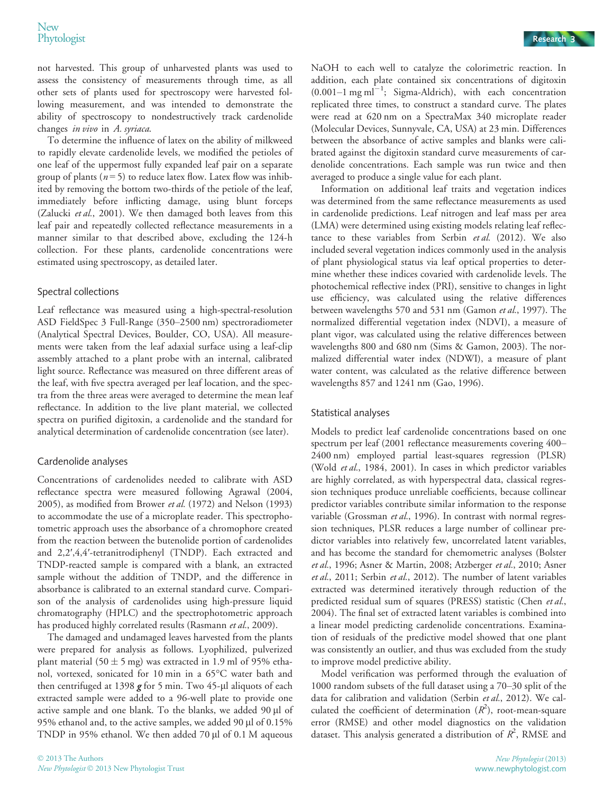not harvested. This group of unharvested plants was used to assess the consistency of measurements through time, as all other sets of plants used for spectroscopy were harvested following measurement, and was intended to demonstrate the ability of spectroscopy to nondestructively track cardenolide changes in vivo in A. syriaca.

To determine the influence of latex on the ability of milkweed to rapidly elevate cardenolide levels, we modified the petioles of one leaf of the uppermost fully expanded leaf pair on a separate group of plants ( $n = 5$ ) to reduce latex flow. Latex flow was inhibited by removing the bottom two-thirds of the petiole of the leaf, immediately before inflicting damage, using blunt forceps (Zalucki et al., 2001). We then damaged both leaves from this leaf pair and repeatedly collected reflectance measurements in a manner similar to that described above, excluding the 124-h collection. For these plants, cardenolide concentrations were estimated using spectroscopy, as detailed later.

#### Spectral collections

Leaf reflectance was measured using a high-spectral-resolution ASD FieldSpec 3 Full-Range (350–2500 nm) spectroradiometer (Analytical Spectral Devices, Boulder, CO, USA). All measurements were taken from the leaf adaxial surface using a leaf-clip assembly attached to a plant probe with an internal, calibrated light source. Reflectance was measured on three different areas of the leaf, with five spectra averaged per leaf location, and the spectra from the three areas were averaged to determine the mean leaf reflectance. In addition to the live plant material, we collected spectra on purified digitoxin, a cardenolide and the standard for analytical determination of cardenolide concentration (see later).

#### Cardenolide analyses

Concentrations of cardenolides needed to calibrate with ASD reflectance spectra were measured following Agrawal (2004, 2005), as modified from Brower et al. (1972) and Nelson (1993) to accommodate the use of a microplate reader. This spectrophotometric approach uses the absorbance of a chromophore created from the reaction between the butenolide portion of cardenolides and 2,2′,4,4′-tetranitrodiphenyl (TNDP). Each extracted and TNDP-reacted sample is compared with a blank, an extracted sample without the addition of TNDP, and the difference in absorbance is calibrated to an external standard curve. Comparison of the analysis of cardenolides using high-pressure liquid chromatography (HPLC) and the spectrophotometric approach has produced highly correlated results (Rasmann et al., 2009).

The damaged and undamaged leaves harvested from the plants were prepared for analysis as follows. Lyophilized, pulverized plant material (50  $\pm$  5 mg) was extracted in 1.9 ml of 95% ethanol, vortexed, sonicated for 10 min in a 65°C water bath and then centrifuged at 1398  $g$  for 5 min. Two 45-µl aliquots of each extracted sample were added to a 96-well plate to provide one active sample and one blank. To the blanks, we added  $90 \mu l$  of 95% ethanol and, to the active samples, we added 90 µl of 0.15% TNDP in 95% ethanol. We then added 70 µl of 0.1 M aqueous

NaOH to each well to catalyze the colorimetric reaction. In addition, each plate contained six concentrations of digitoxin  $(0.001-1$  mg ml<sup>-1</sup>; Sigma-Aldrich), with each concentration replicated three times, to construct a standard curve. The plates were read at 620 nm on a SpectraMax 340 microplate reader (Molecular Devices, Sunnyvale, CA, USA) at 23 min. Differences between the absorbance of active samples and blanks were calibrated against the digitoxin standard curve measurements of cardenolide concentrations. Each sample was run twice and then averaged to produce a single value for each plant.

Information on additional leaf traits and vegetation indices was determined from the same reflectance measurements as used in cardenolide predictions. Leaf nitrogen and leaf mass per area (LMA) were determined using existing models relating leaf reflectance to these variables from Serbin et al. (2012). We also included several vegetation indices commonly used in the analysis of plant physiological status via leaf optical properties to determine whether these indices covaried with cardenolide levels. The photochemical reflective index (PRI), sensitive to changes in light use efficiency, was calculated using the relative differences between wavelengths 570 and 531 nm (Gamon et al., 1997). The normalized differential vegetation index (NDVI), a measure of plant vigor, was calculated using the relative differences between wavelengths 800 and 680 nm (Sims & Gamon, 2003). The normalized differential water index (NDWI), a measure of plant water content, was calculated as the relative difference between wavelengths 857 and 1241 nm (Gao, 1996).

#### Statistical analyses

Models to predict leaf cardenolide concentrations based on one spectrum per leaf (2001 reflectance measurements covering 400– 2400 nm) employed partial least-squares regression (PLSR) (Wold et al., 1984, 2001). In cases in which predictor variables are highly correlated, as with hyperspectral data, classical regression techniques produce unreliable coefficients, because collinear predictor variables contribute similar information to the response variable (Grossman et al., 1996). In contrast with normal regression techniques, PLSR reduces a large number of collinear predictor variables into relatively few, uncorrelated latent variables, and has become the standard for chemometric analyses (Bolster et al., 1996; Asner & Martin, 2008; Atzberger et al., 2010; Asner et al., 2011; Serbin et al., 2012). The number of latent variables extracted was determined iteratively through reduction of the predicted residual sum of squares (PRESS) statistic (Chen et al., 2004). The final set of extracted latent variables is combined into a linear model predicting cardenolide concentrations. Examination of residuals of the predictive model showed that one plant was consistently an outlier, and thus was excluded from the study to improve model predictive ability.

Model verification was performed through the evaluation of 1000 random subsets of the full dataset using a 70–30 split of the data for calibration and validation (Serbin et al., 2012). We calculated the coefficient of determination  $(R^2)$ , root-mean-square error (RMSE) and other model diagnostics on the validation dataset. This analysis generated a distribution of  $R^2$ , RMSE and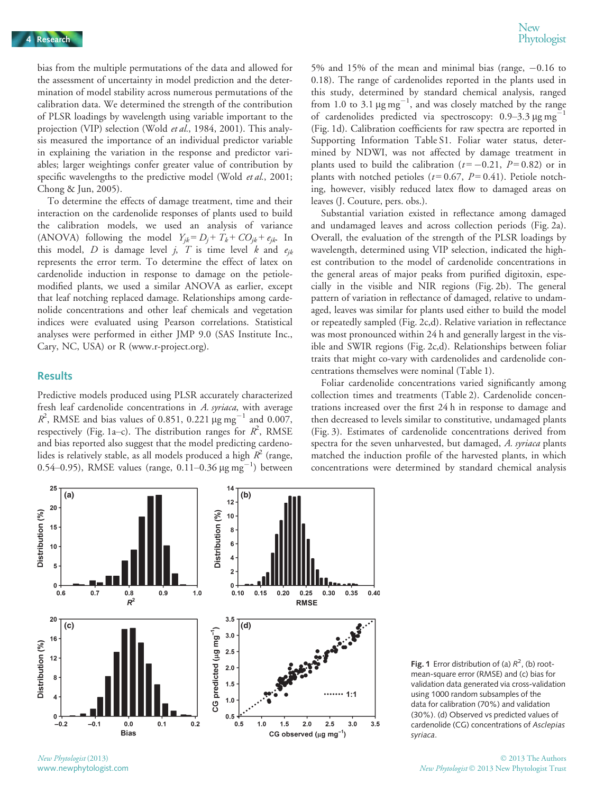bias from the multiple permutations of the data and allowed for the assessment of uncertainty in model prediction and the determination of model stability across numerous permutations of the calibration data. We determined the strength of the contribution of PLSR loadings by wavelength using variable important to the projection (VIP) selection (Wold et al., 1984, 2001). This analysis measured the importance of an individual predictor variable in explaining the variation in the response and predictor variables; larger weightings confer greater value of contribution by specific wavelengths to the predictive model (Wold et al., 2001; Chong & Jun, 2005).

To determine the effects of damage treatment, time and their interaction on the cardenolide responses of plants used to build the calibration models, we used an analysis of variance (ANOVA) following the model  $Y_{jk} = D_j + T_k + CO_{jk} + e_{jk}$ . In this model, D is damage level j, T is time level k and  $e_{ik}$ represents the error term. To determine the effect of latex on cardenolide induction in response to damage on the petiolemodified plants, we used a similar ANOVA as earlier, except that leaf notching replaced damage. Relationships among cardenolide concentrations and other leaf chemicals and vegetation indices were evaluated using Pearson correlations. Statistical analyses were performed in either JMP 9.0 (SAS Institute Inc., Cary, NC, USA) or R (www.r-project.org).

#### **Results**

Predictive models produced using PLSR accurately characterized fresh leaf cardenolide concentrations in A. syriaca, with average  $R^2$ , RMSE and bias values of 0.851, 0.221  $\mu$ g mg<sup>-1</sup> and 0.007, respectively (Fig. 1a–c). The distribution ranges for  $R^2$ , RMSE and bias reported also suggest that the model predicting cardenolides is relatively stable, as all models produced a high  $R^2$  (range, 0.54–0.95), RMSE values (range,  $0.11$ –0.36  $\mu$ g mg<sup>-1</sup>) between

5% and 15% of the mean and minimal bias (range,  $-0.16$  to 0.18). The range of cardenolides reported in the plants used in this study, determined by standard chemical analysis, ranged from 1.0 to 3.1  $\mu$ g mg<sup>-1</sup>, and was closely matched by the range of cardenolides predicted via spectroscopy: 0.9–3.3 µg mg<sup>-1</sup> (Fig. 1d). Calibration coefficients for raw spectra are reported in Supporting Information Table S1. Foliar water status, determined by NDWI, was not affected by damage treatment in plants used to build the calibration ( $t = -0.21$ ,  $P = 0.82$ ) or in plants with notched petioles ( $t = 0.67$ ,  $P = 0.41$ ). Petiole notching, however, visibly reduced latex flow to damaged areas on leaves (J. Couture, pers. obs.).

Substantial variation existed in reflectance among damaged and undamaged leaves and across collection periods (Fig. 2a). Overall, the evaluation of the strength of the PLSR loadings by wavelength, determined using VIP selection, indicated the highest contribution to the model of cardenolide concentrations in the general areas of major peaks from purified digitoxin, especially in the visible and NIR regions (Fig. 2b). The general pattern of variation in reflectance of damaged, relative to undamaged, leaves was similar for plants used either to build the model or repeatedly sampled (Fig. 2c,d). Relative variation in reflectance was most pronounced within 24 h and generally largest in the visible and SWIR regions (Fig. 2c,d). Relationships between foliar traits that might co-vary with cardenolides and cardenolide concentrations themselves were nominal (Table 1).

Foliar cardenolide concentrations varied significantly among collection times and treatments (Table 2). Cardenolide concentrations increased over the first 24 h in response to damage and then decreased to levels similar to constitutive, undamaged plants (Fig. 3). Estimates of cardenolide concentrations derived from spectra for the seven unharvested, but damaged, A. syriaca plants matched the induction profile of the harvested plants, in which concentrations were determined by standard chemical analysis



Fig. 1 Error distribution of (a)  $R^2$ , (b) rootmean-square error (RMSE) and (c) bias for validation data generated via cross-validation using 1000 random subsamples of the data for calibration (70%) and validation (30%). (d) Observed vs predicted values of cardenolide (CG) concentrations of Asclepias syriaca.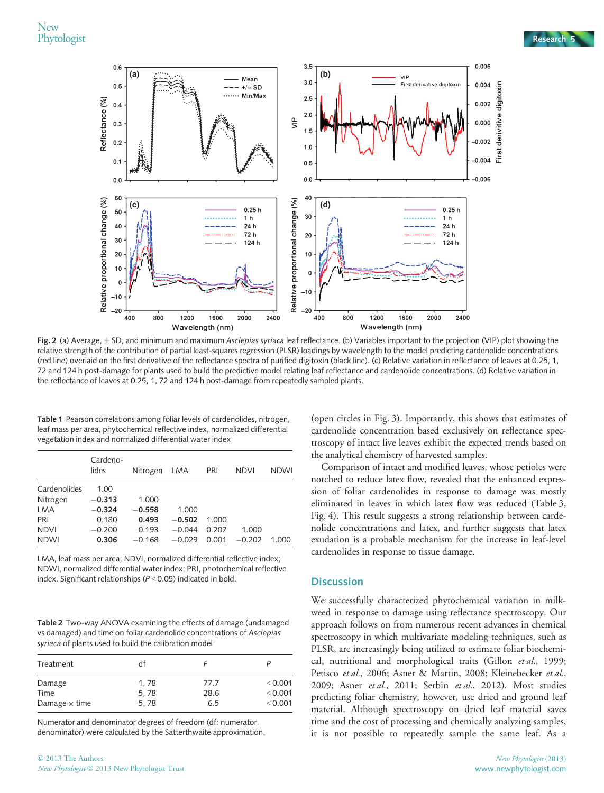

Fig. 2 (a) Average,  $\pm$  SD, and minimum and maximum Asclepias syriaca leaf reflectance. (b) Variables important to the projection (VIP) plot showing the relative strength of the contribution of partial least-squares regression (PLSR) loadings by wavelength to the model predicting cardenolide concentrations (red line) overlaid on the first derivative of the reflectance spectra of purified digitoxin (black line). (c) Relative variation in reflectance of leaves at 0.25, 1, 72 and 124 h post-damage for plants used to build the predictive model relating leaf reflectance and cardenolide concentrations. (d) Relative variation in the reflectance of leaves at 0.25, 1, 72 and 124 h post-damage from repeatedly sampled plants.

Table 1 Pearson correlations among foliar levels of cardenolides, nitrogen, leaf mass per area, phytochemical reflective index, normalized differential vegetation index and normalized differential water index

|              | Cardeno-<br>lides | Nitrogen | LMA      | PRI   | <b>NDVI</b> | <b>NDWI</b> |
|--------------|-------------------|----------|----------|-------|-------------|-------------|
| Cardenolides | 1.00              |          |          |       |             |             |
| Nitrogen     | $-0.313$          | 1.000    |          |       |             |             |
| <b>LMA</b>   | $-0.324$          | $-0.558$ | 1.000    |       |             |             |
| PRI          | 0.180             | 0.493    | $-0.502$ | 1.000 |             |             |
| <b>NDVI</b>  | $-0.200$          | 0.193    | $-0.044$ | 0.207 | 1.000       |             |
| <b>NDWI</b>  | 0.306             | $-0.168$ | $-0.029$ | 0.001 | $-0.202$    | 1.000       |

LMA, leaf mass per area; NDVI, normalized differential reflective index; NDWI, normalized differential water index; PRI, photochemical reflective index. Significant relationships (P < 0.05) indicated in bold.

Table 2 Two-way ANOVA examining the effects of damage (undamaged vs damaged) and time on foliar cardenolide concentrations of Asclepias syriaca of plants used to build the calibration model

| Treatment            | df   |      |         |
|----------------------|------|------|---------|
| Damage               | 1,78 | 77.7 | < 0.001 |
| Time                 | 5.78 | 28.6 | < 0.001 |
| Damage $\times$ time | 5.78 | 65   | < 0.001 |

Numerator and denominator degrees of freedom (df: numerator, denominator) were calculated by the Satterthwaite approximation. (open circles in Fig. 3). Importantly, this shows that estimates of cardenolide concentration based exclusively on reflectance spectroscopy of intact live leaves exhibit the expected trends based on the analytical chemistry of harvested samples.

Comparison of intact and modified leaves, whose petioles were notched to reduce latex flow, revealed that the enhanced expression of foliar cardenolides in response to damage was mostly eliminated in leaves in which latex flow was reduced (Table 3, Fig. 4). This result suggests a strong relationship between cardenolide concentrations and latex, and further suggests that latex exudation is a probable mechanism for the increase in leaf-level cardenolides in response to tissue damage.

#### **Discussion**

We successfully characterized phytochemical variation in milkweed in response to damage using reflectance spectroscopy. Our approach follows on from numerous recent advances in chemical spectroscopy in which multivariate modeling techniques, such as PLSR, are increasingly being utilized to estimate foliar biochemical, nutritional and morphological traits (Gillon et al., 1999; Petisco et al., 2006; Asner & Martin, 2008; Kleinebecker et al., 2009; Asner et al., 2011; Serbin et al., 2012). Most studies predicting foliar chemistry, however, use dried and ground leaf material. Although spectroscopy on dried leaf material saves time and the cost of processing and chemically analyzing samples, it is not possible to repeatedly sample the same leaf. As a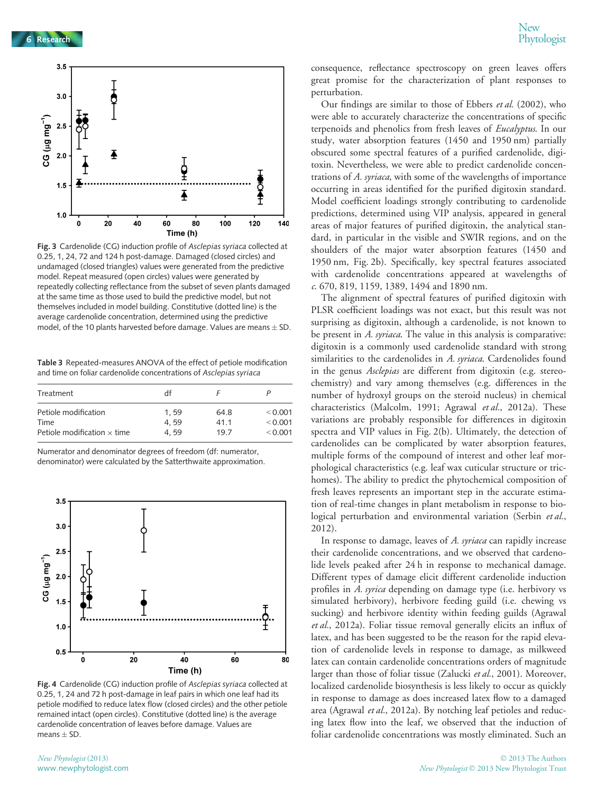

Fig. 3 Cardenolide (CG) induction profile of Asclepias syriaca collected at 0.25, 1, 24, 72 and 124 h post-damage. Damaged (closed circles) and undamaged (closed triangles) values were generated from the predictive model. Repeat measured (open circles) values were generated by repeatedly collecting reflectance from the subset of seven plants damaged at the same time as those used to build the predictive model, but not themselves included in model building. Constitutive (dotted line) is the average cardenolide concentration, determined using the predictive model, of the 10 plants harvested before damage. Values are means  $\pm$  SD.

Table 3 Repeated-measures ANOVA of the effect of petiole modification and time on foliar cardenolide concentrations of Asclepias syriaca

| Treatment                          | df   |      |         |
|------------------------------------|------|------|---------|
| Petiole modification               | 1.59 | 64.8 | < 0.001 |
| Time                               | 4.59 | 41.1 | < 0.001 |
| Petiole modification $\times$ time | 4.59 | 197  | < 0.001 |

Numerator and denominator degrees of freedom (df: numerator, denominator) were calculated by the Satterthwaite approximation.



Fig. 4 Cardenolide (CG) induction profile of Asclepias syriaca collected at 0.25, 1, 24 and 72 h post-damage in leaf pairs in which one leaf had its petiole modified to reduce latex flow (closed circles) and the other petiole remained intact (open circles). Constitutive (dotted line) is the average cardenolide concentration of leaves before damage. Values are means  $\pm$  SD.

consequence, reflectance spectroscopy on green leaves offers great promise for the characterization of plant responses to perturbation.

Our findings are similar to those of Ebbers et al. (2002), who were able to accurately characterize the concentrations of specific terpenoids and phenolics from fresh leaves of Eucalyptus. In our study, water absorption features (1450 and 1950 nm) partially obscured some spectral features of a purified cardenolide, digitoxin. Nevertheless, we were able to predict cardenolide concentrations of A. syriaca, with some of the wavelengths of importance occurring in areas identified for the purified digitoxin standard. Model coefficient loadings strongly contributing to cardenolide predictions, determined using VIP analysis, appeared in general areas of major features of purified digitoxin, the analytical standard, in particular in the visible and SWIR regions, and on the shoulders of the major water absorption features (1450 and 1950 nm, Fig. 2b). Specifically, key spectral features associated with cardenolide concentrations appeared at wavelengths of c. 670, 819, 1159, 1389, 1494 and 1890 nm.

The alignment of spectral features of purified digitoxin with PLSR coefficient loadings was not exact, but this result was not surprising as digitoxin, although a cardenolide, is not known to be present in A. syriaca. The value in this analysis is comparative: digitoxin is a commonly used cardenolide standard with strong similarities to the cardenolides in A. syriaca. Cardenolides found in the genus Asclepias are different from digitoxin (e.g. stereochemistry) and vary among themselves (e.g. differences in the number of hydroxyl groups on the steroid nucleus) in chemical characteristics (Malcolm, 1991; Agrawal et al., 2012a). These variations are probably responsible for differences in digitoxin spectra and VIP values in Fig. 2(b). Ultimately, the detection of cardenolides can be complicated by water absorption features, multiple forms of the compound of interest and other leaf morphological characteristics (e.g. leaf wax cuticular structure or trichomes). The ability to predict the phytochemical composition of fresh leaves represents an important step in the accurate estimation of real-time changes in plant metabolism in response to biological perturbation and environmental variation (Serbin et al., 2012).

In response to damage, leaves of A. syriaca can rapidly increase their cardenolide concentrations, and we observed that cardenolide levels peaked after 24 h in response to mechanical damage. Different types of damage elicit different cardenolide induction profiles in A. syrica depending on damage type (i.e. herbivory vs simulated herbivory), herbivore feeding guild (i.e. chewing vs sucking) and herbivore identity within feeding guilds (Agrawal et al., 2012a). Foliar tissue removal generally elicits an influx of latex, and has been suggested to be the reason for the rapid elevation of cardenolide levels in response to damage, as milkweed latex can contain cardenolide concentrations orders of magnitude larger than those of foliar tissue (Zalucki et al., 2001). Moreover, localized cardenolide biosynthesis is less likely to occur as quickly in response to damage as does increased latex flow to a damaged area (Agrawal et al., 2012a). By notching leaf petioles and reducing latex flow into the leaf, we observed that the induction of foliar cardenolide concentrations was mostly eliminated. Such an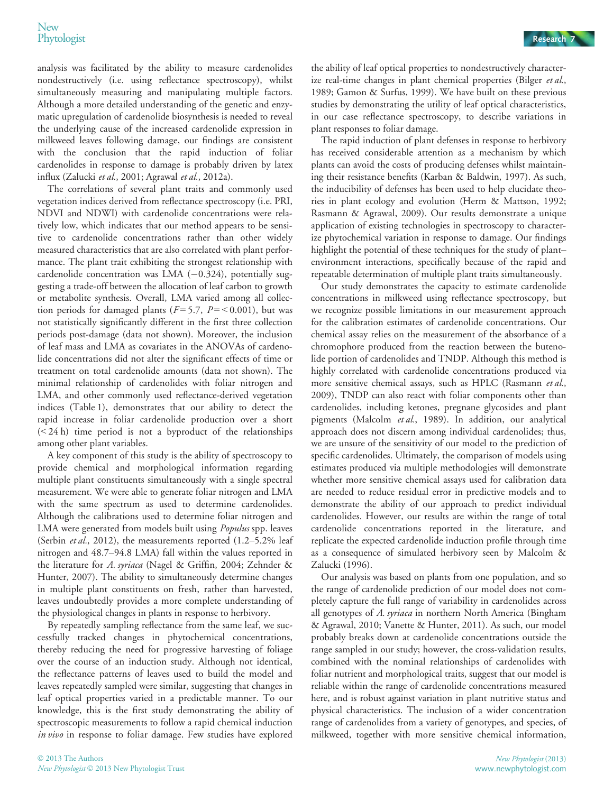analysis was facilitated by the ability to measure cardenolides nondestructively (i.e. using reflectance spectroscopy), whilst simultaneously measuring and manipulating multiple factors. Although a more detailed understanding of the genetic and enzymatic upregulation of cardenolide biosynthesis is needed to reveal the underlying cause of the increased cardenolide expression in milkweed leaves following damage, our findings are consistent with the conclusion that the rapid induction of foliar cardenolides in response to damage is probably driven by latex influx (Zalucki et al., 2001; Agrawal et al., 2012a).

The correlations of several plant traits and commonly used vegetation indices derived from reflectance spectroscopy (i.e. PRI, NDVI and NDWI) with cardenolide concentrations were relatively low, which indicates that our method appears to be sensitive to cardenolide concentrations rather than other widely measured characteristics that are also correlated with plant performance. The plant trait exhibiting the strongest relationship with cardenolide concentration was LMA  $(-0.324)$ , potentially suggesting a trade-off between the allocation of leaf carbon to growth or metabolite synthesis. Overall, LMA varied among all collection periods for damaged plants ( $F = 5.7$ ,  $P = < 0.001$ ), but was not statistically significantly different in the first three collection periods post-damage (data not shown). Moreover, the inclusion of leaf mass and LMA as covariates in the ANOVAs of cardenolide concentrations did not alter the significant effects of time or treatment on total cardenolide amounts (data not shown). The minimal relationship of cardenolides with foliar nitrogen and LMA, and other commonly used reflectance-derived vegetation indices (Table 1), demonstrates that our ability to detect the rapid increase in foliar cardenolide production over a short (< 24 h) time period is not a byproduct of the relationships among other plant variables.

A key component of this study is the ability of spectroscopy to provide chemical and morphological information regarding multiple plant constituents simultaneously with a single spectral measurement. We were able to generate foliar nitrogen and LMA with the same spectrum as used to determine cardenolides. Although the calibrations used to determine foliar nitrogen and LMA were generated from models built using Populus spp. leaves (Serbin et al., 2012), the measurements reported (1.2-5.2% leaf nitrogen and 48.7–94.8 LMA) fall within the values reported in the literature for A. syriaca (Nagel & Griffin, 2004; Zehnder & Hunter, 2007). The ability to simultaneously determine changes in multiple plant constituents on fresh, rather than harvested, leaves undoubtedly provides a more complete understanding of the physiological changes in plants in response to herbivory.

By repeatedly sampling reflectance from the same leaf, we successfully tracked changes in phytochemical concentrations, thereby reducing the need for progressive harvesting of foliage over the course of an induction study. Although not identical, the reflectance patterns of leaves used to build the model and leaves repeatedly sampled were similar, suggesting that changes in leaf optical properties varied in a predictable manner. To our knowledge, this is the first study demonstrating the ability of spectroscopic measurements to follow a rapid chemical induction in vivo in response to foliar damage. Few studies have explored the ability of leaf optical properties to nondestructively characterize real-time changes in plant chemical properties (Bilger et al., 1989; Gamon & Surfus, 1999). We have built on these previous studies by demonstrating the utility of leaf optical characteristics, in our case reflectance spectroscopy, to describe variations in plant responses to foliar damage.

The rapid induction of plant defenses in response to herbivory has received considerable attention as a mechanism by which plants can avoid the costs of producing defenses whilst maintaining their resistance benefits (Karban & Baldwin, 1997). As such, the inducibility of defenses has been used to help elucidate theories in plant ecology and evolution (Herm & Mattson, 1992; Rasmann & Agrawal, 2009). Our results demonstrate a unique application of existing technologies in spectroscopy to characterize phytochemical variation in response to damage. Our findings highlight the potential of these techniques for the study of plant– environment interactions, specifically because of the rapid and repeatable determination of multiple plant traits simultaneously.

Our study demonstrates the capacity to estimate cardenolide concentrations in milkweed using reflectance spectroscopy, but we recognize possible limitations in our measurement approach for the calibration estimates of cardenolide concentrations. Our chemical assay relies on the measurement of the absorbance of a chromophore produced from the reaction between the butenolide portion of cardenolides and TNDP. Although this method is highly correlated with cardenolide concentrations produced via more sensitive chemical assays, such as HPLC (Rasmann et al., 2009), TNDP can also react with foliar components other than cardenolides, including ketones, pregnane glycosides and plant pigments (Malcolm et al., 1989). In addition, our analytical approach does not discern among individual cardenolides; thus, we are unsure of the sensitivity of our model to the prediction of specific cardenolides. Ultimately, the comparison of models using estimates produced via multiple methodologies will demonstrate whether more sensitive chemical assays used for calibration data are needed to reduce residual error in predictive models and to demonstrate the ability of our approach to predict individual cardenolides. However, our results are within the range of total cardenolide concentrations reported in the literature, and replicate the expected cardenolide induction profile through time as a consequence of simulated herbivory seen by Malcolm & Zalucki (1996).

Our analysis was based on plants from one population, and so the range of cardenolide prediction of our model does not completely capture the full range of variability in cardenolides across all genotypes of A. syriaca in northern North America (Bingham & Agrawal, 2010; Vanette & Hunter, 2011). As such, our model probably breaks down at cardenolide concentrations outside the range sampled in our study; however, the cross-validation results, combined with the nominal relationships of cardenolides with foliar nutrient and morphological traits, suggest that our model is reliable within the range of cardenolide concentrations measured here, and is robust against variation in plant nutritive status and physical characteristics. The inclusion of a wider concentration range of cardenolides from a variety of genotypes, and species, of milkweed, together with more sensitive chemical information,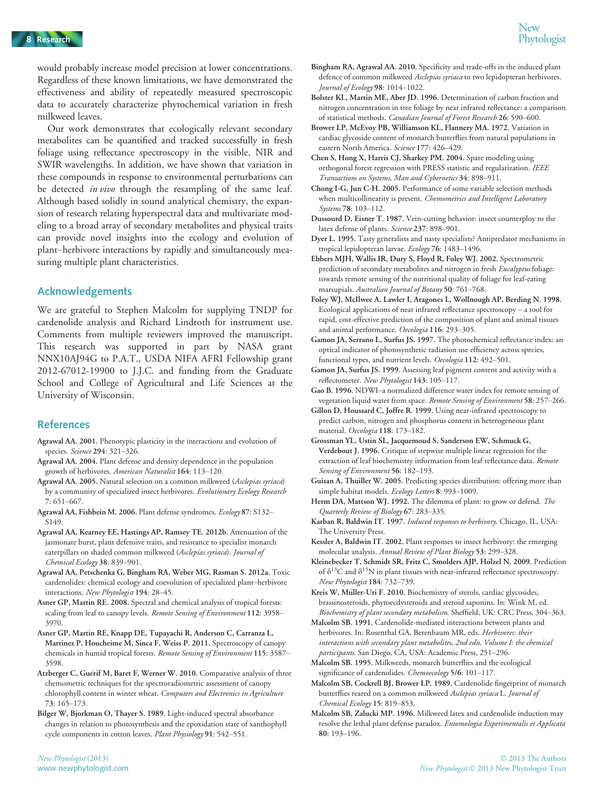would probably increase model precision at lower concentrations. Regardless of these known limitations, we have demonstrated the effectiveness and ability of repeatedly measured spectroscopic data to accurately characterize phytochemical variation in fresh milkweed leaves.

Our work demonstrates that ecologically relevant secondary metabolites can be quantified and tracked successfully in fresh foliage using reflectance spectroscopy in the visible, NIR and SWIR wavelengths. In addition, we have shown that variation in these compounds in response to environmental perturbations can be detected *in vivo* through the resampling of the same leaf. Although based solidly in sound analytical chemistry, the expansion of research relating hyperspectral data and multivariate modeling to a broad array of secondary metabolites and physical traits can provide novel insights into the ecology and evolution of plant–herbivore interactions by rapidly and simultaneously measuring multiple plant characteristics.

#### Acknowledgements

We are grateful to Stephen Malcolm for supplying TNDP for cardenolide analysis and Richard Lindroth for instrument use. Comments from multiple reviewers improved the manuscript. This research was supported in part by NASA grant NNX10AJ94G to P.A.T., USDA NIFA AFRI Fellowship grant 2012-67012-19900 to J.J.C. and funding from the Graduate School and College of Agricultural and Life Sciences at the University of Wisconsin.

#### References

- Agrawal AA. 2001. Phenotypic plasticity in the interactions and evolution of species. Science 294: 321–326.
- Agrawal AA. 2004. Plant defense and density dependence in the population growth of herbivores. American Naturalist 164: 113–120.
- Agrawal AA. 2005. Natural selection on a common milkweed (Asclepias syriaca) by a community of specialized insect herbivores. Evolutionary Ecology Research 7: 651–667.
- Agrawal AA, Fishbein M. 2006. Plant defense syndromes. Ecology 87: S132– S149.
- Agrawal AA, Kearney EE, Hastings AP, Ramsey TE. 2012b. Attenuation of the jasmonate burst, plant defensive traits, and resistance to specialist monarch caterpillars on shaded common milkweed (Asclepias syriaca). Journal of Chemical Ecology 38: 839–901.
- Agrawal AA, Petschenka G, Bingham RA, Weber MG, Rasman S. 2012a. Toxic cardenolides: chemical ecology and coevolution of specialized plant–herbivore interactions. New Phytologist 194: 28–45.
- Asner GP, Martin RE. 2008. Spectral and chemical analysis of tropical forests: scaling from leaf to canopy levels. Remote Sensing of Environment 112: 3958-3970.
- Asner GP, Martin RE, Knapp DE, Tupayachi R, Anderson C, Carranza L, Martinez P, Houcheime M, Sinca F, Weiss P. 2011. Spectroscopy of canopy chemicals in humid tropical forests. Remote Sensing of Environment 115: 3587– 3598.
- Atzberger C, Guérif M, Baret F, Werner W. 2010. Comparative analysis of three chemometric techniques for the spectroradiometric assessment of canopy chlorophyll content in winter wheat. Computers and Electronics in Agriculture 73: 165–173.
- Bilger W, Bjorkman O, Thayer S. 1989. Light-induced spectral absorbance changes in relation to photosynthesis and the epoxidation state of xanthophyll cycle components in cotton leaves. Plant Physiology 91: 542-551.
- Bolster KL, Martin ME, Aber JD. 1996. Determination of carbon fraction and nitrogen concentration in tree foliage by near infrared reflectance: a comparison of statistical methods. Canadian Journal of Forest Research 26: 590–600.
- Brower LP, McEvoy PB, Williamson KL, Flannery MA. 1972. Variation in cardiac glycoside content of monarch butterflies from natural populations in eastern North America. Science 177: 426–429.
- Chen S, Hong X, Harris CJ, Sharkey PM. 2004. Spare modeling using orthogonal forest regression with PRESS statistic and regularization. IEEE Transactions on Systems, Man and Cybernetics 34: 898–911.
- Chong I-G, Jun C-H. 2005. Performance of some variable selection methods when multicollinearity is present. Chemometrics and Intelligent Laboratory Systems 78: 103–112.
- Dussourd D, Eisner T. 1987. Vein-cutting behavior: insect counterploy to the latex defense of plants. Science 237: 898–901.
- Dyer L. 1995. Tasty generalists and nasty specialists? Antipredator mechanisms in tropical lepidopteran larvae. Ecology 76: 1483–1496.
- Ebbers MJH, Wallis IR, Dury S, Floyd R, Foley WJ. 2002. Spectrometric prediction of secondary metabolites and nitrogen in fresh Eucalyptus foliage: towards remote sensing of the nutritional quality of foliage for leaf-eating marsupials. Australian Journal of Botany 50: 761–768.
- Foley WJ, McIlwee A, Lawler I, Aragones L, Wollnough AP, Berding N. 1998. Ecological applications of near infrared reflectance spectroscopy – a tool for rapid, cost-effective prediction of the composition of plant and animal tissues and animal performance. Oecologia 116: 293–305.
- Gamon JA, Serrano L, Surfus JS. 1997. The photochemical reflectance index: an optical indicator of photosynthetic radiation use efficiency across species, functional types, and nutrient levels. Oecologia 112: 492–501.
- Gamon JA, Surfus JS. 1999. Assessing leaf pigment content and activity with a reflectometer. New Phytologist 143: 105-117.
- Gao B. 1996. NDWI–a normalized difference water index for remote sensing of vegetation liquid water from space. Remote Sensing of Environment 58: 257-266.
- Gillon D, Houssard C, Joffre R. 1999. Using near-infrared spectroscopy to predict carbon, nitrogen and phosphorus content in heterogeneous plant material. Oecologia 118: 173–182.
- Grossman YL, Ustin SL, Jacquemoud S, Sanderson EW, Schmuck G, Verdebout J. 1996. Critique of stepwise multiple linear regression for the extraction of leaf biochemistry information from leaf reflectance data. Remote Sensing of Environment 56: 182-193.
- Guisan A, Thuiller W. 2005. Predicting species distribution: offering more than simple habitat models. Ecology Letters 8: 993-1009.
- Herm DA, Mattson WJ. 1992. The dilemma of plant: to grow or defend. The Quarterly Review of Biology 67: 283–335.
- Karban R, Baldwin IT. 1997. Induced responses to herbivory. Chicago, IL, USA: The University Press.
- Kessler A, Baldwin IT. 2002. Plant responses to insect herbivory: the emerging molecular analysis. Annual Review of Plant Biology 53: 299–328.
- Kleinebecker T, Schmidt SR, Fritz C, Smolders AJP, Hölzel N. 2009. Prediction of  $\delta^{13}$ C and  $\delta^{15}$ N in plant tissues with near-infrared reflectance spectroscopy. New Phytologist 184: 732–739.

Kreis W, Müller-Uri F. 2010. Biochemistry of sterols, cardiac glycosides, brassinosteroids, phytoecdysteroids and steroid saponins. In: Wink M, ed. Biochemistry of plant secondary metabolism. Sheffield, UK: CRC Press, 304–363.

- Malcolm SB. 1991. Cardenolide-mediated interactions between plants and herbivores. In: Rosenthal GA, Berenbaum MR, eds. Herbivores: their interactions with secondary plant metabolites, 2nd edn, Volume I: the chemical participants. San Diego, CA, USA: Academic Press, 251–296.
- Malcolm SB. 1995. Milkweeds, monarch butterflies and the ecological significance of cardenolides. Chemoecology 5/6: 101-117.
- Malcolm SB, Cockrell BJ, Brower LP. 1989. Cardenolide fingerprint of monarch butterflies reared on a common milkweed Asclepias syriaca L. Journal of Chemical Ecology 15: 819–853.
- Malcolm SB, Zalucki MP. 1996. Milkweed latex and cardenolide induction may resolve the lethal plant defense paradox. Entomologia Experimentalis et Applicata 80: 193–196.